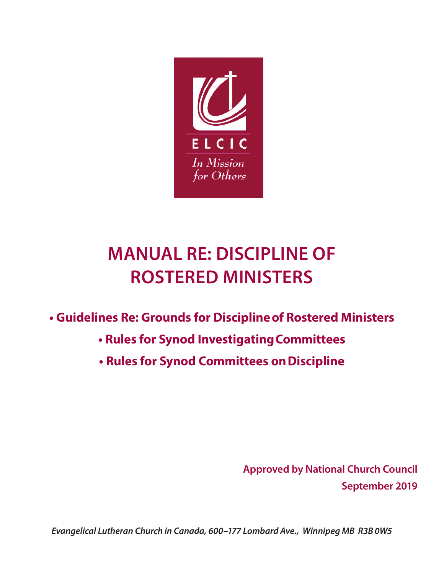

# **MANUAL RE: DISCIPLINE OF ROSTERED MINISTERS**

# **• Guidelines Re: Grounds for Discipline of Rostered Ministers**

- **Rules for Synod Investigating Committees**
- **Rules for Synod Committees on Discipline**

**Approved by National Church Council September 2019**

*Evangelical Lutheran Church in Canada, 600–177 Lombard Ave., Winnipeg MB R3B 0W5*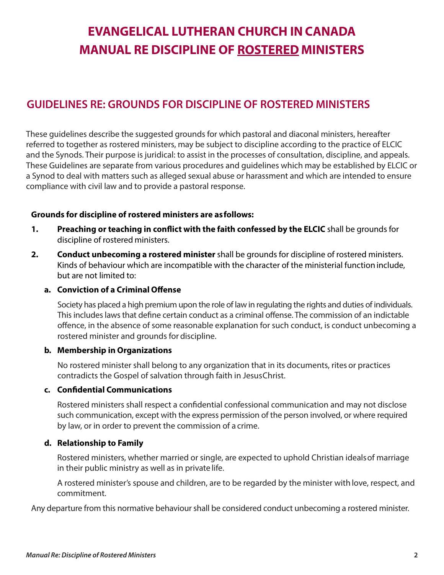# **EVANGELICAL LUTHERAN CHURCH IN CANADA MANUAL RE DISCIPLINE OF ROSTERED MINISTERS**

## **GUIDELINES RE: GROUNDS FOR DISCIPLINE OF ROSTERED MINISTERS**

These guidelines describe the suggested grounds for which pastoral and diaconal ministers, hereafter referred to together as rostered ministers, may be subject to discipline according to the practice of ELCIC and the Synods. Their purpose is juridical: to assist in the processes of consultation, discipline, and appeals. These Guidelines are separate from various procedures and guidelines which may be established by ELCIC or a Synod to deal with matters such as alleged sexual abuse or harassment and which are intended to ensure compliance with civil law and to provide a pastoral response.

#### **Grounds for discipline of rostered ministers are as follows:**

- **1. Preaching or teaching in conflict with the faith confessed by the ELCIC** shall be grounds for discipline of rostered ministers.
- **2. Conduct unbecoming a rostered minister** shall be grounds for discipline of rostered ministers. Kinds of behaviour which are incompatible with the character of the ministerial function include, but are not limited to:

#### **a. Conviction of a Criminal Offense**

Society has placed a high premium upon the role of law in regulating the rights and duties of individuals. This includes laws that define certain conduct as a criminal offense. The commission of an indictable offence, in the absence of some reasonable explanation for such conduct, is conduct unbecoming a rostered minister and grounds for discipline.

#### **b. Membership in Organizations**

No rostered minister shall belong to any organization that in its documents, rites or practices contradicts the Gospel of salvation through faith in Jesus Christ.

#### **c. Confidential Communications**

Rostered ministers shall respect a confidential confessional communication and may not disclose such communication, except with the express permission of the person involved, or where required by law, or in order to prevent the commission of a crime.

#### **d. Relationship to Family**

Rostered ministers, whether married or single, are expected to uphold Christian ideals of marriage in their public ministry as well as in private life.

A rostered minister's spouse and children, are to be regarded by the minister with love, respect, and commitment.

Any departure from this normative behaviour shall be considered conduct unbecoming a rostered minister.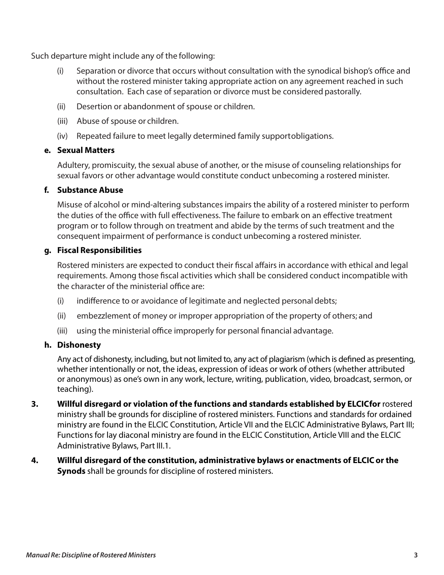Such departure might include any of the following:

- (i) Separation or divorce that occurs without consultation with the synodical bishop's office and without the rostered minister taking appropriate action on any agreement reached in such consultation. Each case of separation or divorce must be considered pastorally.
- (ii) Desertion or abandonment of spouse or children.
- (iii) Abuse of spouse or children.
- (iv) Repeated failure to meet legally determined family support obligations.

#### **e. Sexual Matters**

Adultery, promiscuity, the sexual abuse of another, or the misuse of counseling relationships for sexual favors or other advantage would constitute conduct unbecoming a rostered minister.

#### **f. Substance Abuse**

Misuse of alcohol or mind-altering substances impairs the ability of a rostered minister to perform the duties of the office with full effectiveness. The failure to embark on an effective treatment program or to follow through on treatment and abide by the terms of such treatment and the consequent impairment of performance is conduct unbecoming a rostered minister.

#### **g. Fiscal Responsibilities**

Rostered ministers are expected to conduct their fiscal affairs in accordance with ethical and legal requirements. Among those fiscal activities which shall be considered conduct incompatible with the character of the ministerial office are:

- (i) indifference to or avoidance of legitimate and neglected personal debts;
- (ii) embezzlement of money or improper appropriation of the property of others; and
- (iii) using the ministerial office improperly for personal financial advantage.

#### **h. Dishonesty**

Any act of dishonesty, including, but not limited to, any act of plagiarism (which is defined as presenting, whether intentionally or not, the ideas, expression of ideas or work of others (whether attributed or anonymous) as one's own in any work, lecture, writing, publication, video, broadcast, sermon, or teaching).

- **3. Willful disregard or violation of the functions and standards established by ELCIC for rostered** ministry shall be grounds for discipline of rostered ministers. Functions and standards for ordained ministry are found in the ELCIC Constitution, Article VII and the ELCIC Administrative Bylaws, Part III; Functions for lay diaconal ministry are found in the ELCIC Constitution, Article VIII and the ELCIC Administrative Bylaws, Part III.1.
- **4. Willful disregard of the constitution, administrative bylaws or enactments of ELCIC or the Synods** shall be grounds for discipline of rostered ministers.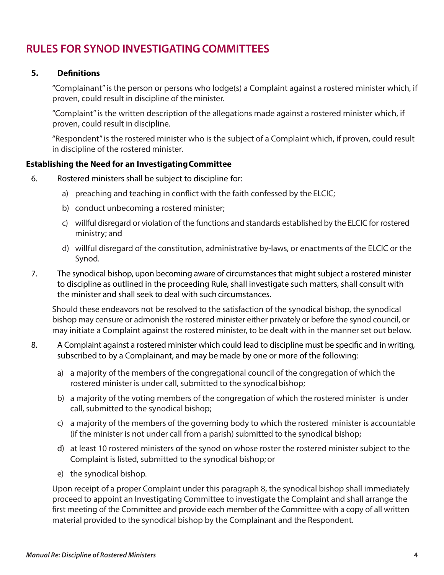### **RULES FOR SYNOD INVESTIGATING COMMITTEES**

#### **5. Definitions**

"Complainant" is the person or persons who lodge(s) a Complaint against a rostered minister which, if proven, could result in discipline of the minister.

"Complaint" is the written description of the allegations made against a rostered minister which, if proven, could result in discipline.

"Respondent" is the rostered minister who is the subject of a Complaint which, if proven, could result in discipline of the rostered minister.

#### **Establishing the Need for an Investigating Committee**

- 6. Rostered ministers shall be subject to discipline for:
	- a) preaching and teaching in conflict with the faith confessed by the ELCIC;
	- b) conduct unbecoming a rostered minister;
	- c) willful disregard or violation of the functions and standards established by the ELCIC for rostered ministry; and
	- d) willful disregard of the constitution, administrative by-laws, or enactments of the ELCIC or the Synod.
- 7. The synodical bishop, upon becoming aware of circumstances that might subject a rostered minister to discipline as outlined in the proceeding Rule, shall investigate such matters, shall consult with the minister and shall seek to deal with such circumstances.

Should these endeavors not be resolved to the satisfaction of the synodical bishop, the synodical bishop may censure or admonish the rostered minister either privately or before the synod council, or may initiate a Complaint against the rostered minister, to be dealt with in the manner set out below.

- 8. A Complaint against a rostered minister which could lead to discipline must be specific and in writing, subscribed to by a Complainant, and may be made by one or more of the following:
	- a) a majority of the members of the congregational council of the congregation of which the rostered minister is under call, submitted to the synodical bishop;
	- b) a majority of the voting members of the congregation of which the rostered minister is under call, submitted to the synodical bishop;
	- c) a majority of the members of the governing body to which the rostered minister is accountable (if the minister is not under call from a parish) submitted to the synodical bishop;
	- d) at least 10 rostered ministers of the synod on whose roster the rostered minister subject to the Complaint is listed, submitted to the synodical bishop; or
	- e) the synodical bishop.

Upon receipt of a proper Complaint under this paragraph 8, the synodical bishop shall immediately proceed to appoint an Investigating Committee to investigate the Complaint and shall arrange the first meeting of the Committee and provide each member of the Committee with a copy of all written material provided to the synodical bishop by the Complainant and the Respondent.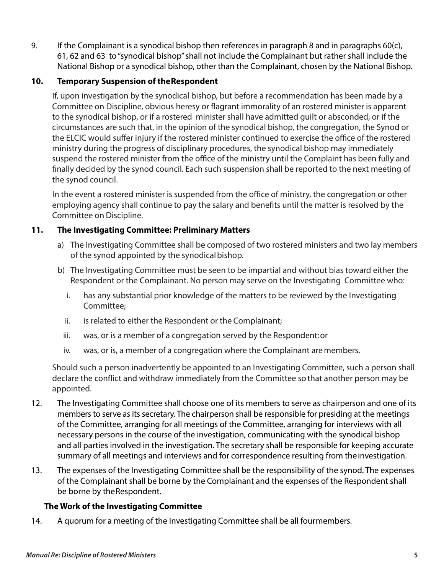9. If the Complainant is a synodical bishop then references in paragraph 8 and in paragraphs 60(c), 61, 62 and 63 to "synodical bishop" shall not include the Complainant but rather shall include the National Bishop or a synodical bishop, other than the Complainant, chosen by the National Bishop.

#### **10. Temporary Suspension of the Respondent**

If, upon investigation by the synodical bishop, but before a recommendation has been made by a Committee on Discipline, obvious heresy or flagrant immorality of an rostered minister is apparent to the synodical bishop, or if a rostered minister shall have admitted guilt or absconded, or if the circumstances are such that, in the opinion of the synodical bishop, the congregation, the Synod or the ELCIC would suffer injury if the rostered minister continued to exercise the office of the rostered ministry during the progress of disciplinary procedures, the synodical bishop may immediately suspend the rostered minister from the office of the ministry until the Complaint has been fully and finally decided by the synod council. Each such suspension shall be reported to the next meeting of the synod council.

In the event a rostered minister is suspended from the office of ministry, the congregation or other employing agency shall continue to pay the salary and benefits until the matter is resolved by the Committee on Discipline.

#### **11. The Investigating Committee: Preliminary Matters**

- a) The Investigating Committee shall be composed of two rostered ministers and two lay members of the synod appointed by the synodical bishop.
- b) The Investigating Committee must be seen to be impartial and without bias toward either the Respondent or the Complainant. No person may serve on the Investigating Committee who:
	- i. has any substantial prior knowledge of the matters to be reviewed by the Investigating Committee;
	- ii. is related to either the Respondent or the Complainant;
	- iii. was, or is a member of a congregation served by the Respondent; or
	- iv. was, or is, a member of a congregation where the Complainant are members.

Should such a person inadvertently be appointed to an Investigating Committee, such a person shall declare the conflict and withdraw immediately from the Committee so that another person may be appointed.

- 12. The Investigating Committee shall choose one of its members to serve as chairperson and one of its members to serve as its secretary. The chairperson shall be responsible for presiding at the meetings of the Committee, arranging for all meetings of the Committee, arranging for interviews with all necessary persons in the course of the investigation, communicating with the synodical bishop and all parties involved in the investigation. The secretary shall be responsible for keeping accurate summary of all meetings and interviews and for correspondence resulting from the investigation.
- 13. The expenses of the Investigating Committee shall be the responsibility of the synod. The expenses of the Complainant shall be borne by the Complainant and the expenses of the Respondent shall be borne by the Respondent.

#### **The Work of the Investigating Committee**

14. A quorum for a meeting of the Investigating Committee shall be all four members.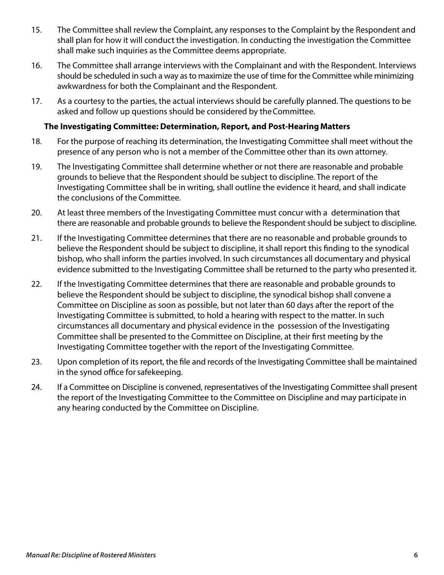- 15. The Committee shall review the Complaint, any responses to the Complaint by the Respondent and shall plan for how it will conduct the investigation. In conducting the investigation the Committee shall make such inquiries as the Committee deems appropriate.
- 16. The Committee shall arrange interviews with the Complainant and with the Respondent. Interviews should be scheduled in such a way as to maximize the use of time for the Committee while minimizing awkwardness for both the Complainant and the Respondent.
- 17. As a courtesy to the parties, the actual interviews should be carefully planned. The questions to be asked and follow up questions should be considered by the Committee.

#### **The Investigating Committee: Determination, Report, and Post-Hearing Matters**

- 18. For the purpose of reaching its determination, the Investigating Committee shall meet without the presence of any person who is not a member of the Committee other than its own attorney.
- 19. The Investigating Committee shall determine whether or not there are reasonable and probable grounds to believe that the Respondent should be subject to discipline. The report of the Investigating Committee shall be in writing, shall outline the evidence it heard, and shall indicate the conclusions of the Committee.
- 20. At least three members of the Investigating Committee must concur with a determination that there are reasonable and probable grounds to believe the Respondent should be subject to discipline.
- 21. If the Investigating Committee determines that there are no reasonable and probable grounds to believe the Respondent should be subject to discipline, it shall report this finding to the synodical bishop, who shall inform the parties involved. In such circumstances all documentary and physical evidence submitted to the Investigating Committee shall be returned to the party who presented it.
- 22. If the Investigating Committee determines that there are reasonable and probable grounds to believe the Respondent should be subject to discipline, the synodical bishop shall convene a Committee on Discipline as soon as possible, but not later than 60 days after the report of the Investigating Committee is submitted, to hold a hearing with respect to the matter. In such circumstances all documentary and physical evidence in the possession of the Investigating Committee shall be presented to the Committee on Discipline, at their first meeting by the Investigating Committee together with the report of the Investigating Committee.
- 23. Upon completion of its report, the file and records of the Investigating Committee shall be maintained in the synod office for safekeeping.
- 24. If a Committee on Discipline is convened, representatives of the Investigating Committee shall present the report of the Investigating Committee to the Committee on Discipline and may participate in any hearing conducted by the Committee on Discipline.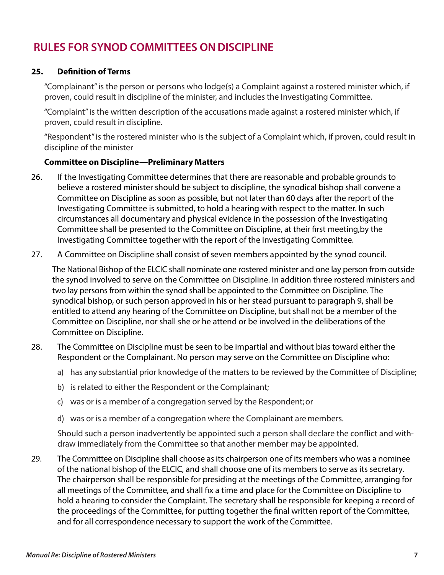### **RULES FOR SYNOD COMMITTEES ON DISCIPLINE**

#### **25. Definition of Terms**

"Complainant" is the person or persons who lodge(s) a Complaint against a rostered minister which, if proven, could result in discipline of the minister, and includes the Investigating Committee.

"Complaint" is the written description of the accusations made against a rostered minister which, if proven, could result in discipline.

"Respondent" is the rostered minister who is the subject of a Complaint which, if proven, could result in discipline of the minister

#### **Committee on Discipline—Preliminary Matters**

- 26. If the Investigating Committee determines that there are reasonable and probable grounds to believe a rostered minister should be subject to discipline, the synodical bishop shall convene a Committee on Discipline as soon as possible, but not later than 60 days after the report of the Investigating Committee is submitted, to hold a hearing with respect to the matter. In such circumstances all documentary and physical evidence in the possession of the Investigating Committee shall be presented to the Committee on Discipline, at their first meeting,by the Investigating Committee together with the report of the Investigating Committee.
- 27. A Committee on Discipline shall consist of seven members appointed by the synod council.

The National Bishop of the ELCIC shall nominate one rostered minister and one lay person from outside the synod involved to serve on the Committee on Discipline. In addition three rostered ministers and two lay persons from within the synod shall be appointed to the Committee on Discipline. The synodical bishop, or such person approved in his or her stead pursuant to paragraph 9, shall be entitled to attend any hearing of the Committee on Discipline, but shall not be a member of the Committee on Discipline, nor shall she or he attend or be involved in the deliberations of the Committee on Discipline.

- 28. The Committee on Discipline must be seen to be impartial and without bias toward either the Respondent or the Complainant. No person may serve on the Committee on Discipline who:
	- a) has any substantial prior knowledge of the matters to be reviewed by the Committee of Discipline;
	- b) is related to either the Respondent or the Complainant;
	- c) was or is a member of a congregation served by the Respondent; or
	- d) was or is a member of a congregation where the Complainant are members.

Should such a person inadvertently be appointed such a person shall declare the conflict and withdraw immediately from the Committee so that another member may be appointed.

29. The Committee on Discipline shall choose as its chairperson one of its members who was a nominee of the national bishop of the ELCIC, and shall choose one of its members to serve as its secretary. The chairperson shall be responsible for presiding at the meetings of the Committee, arranging for all meetings of the Committee, and shall fix a time and place for the Committee on Discipline to hold a hearing to consider the Complaint. The secretary shall be responsible for keeping a record of the proceedings of the Committee, for putting together the final written report of the Committee, and for all correspondence necessary to support the work of the Committee.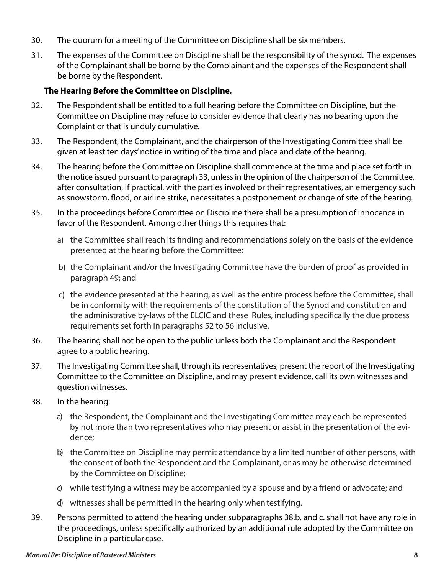- 30. The quorum for a meeting of the Committee on Discipline shall be six members.
- 31. The expenses of the Committee on Discipline shall be the responsibility of the synod. The expenses of the Complainant shall be borne by the Complainant and the expenses of the Respondent shall be borne by the Respondent.

#### **The Hearing Before the Committee on Discipline.**

- 32. The Respondent shall be entitled to a full hearing before the Committee on Discipline, but the Committee on Discipline may refuse to consider evidence that clearly has no bearing upon the Complaint or that is unduly cumulative.
- 33. The Respondent, the Complainant, and the chairperson of the Investigating Committee shall be given at least ten days' notice in writing of the time and place and date of the hearing.
- 34. The hearing before the Committee on Discipline shall commence at the time and place set forth in the notice issued pursuant to paragraph 33, unless in the opinion of the chairperson of the Committee, after consultation, if practical, with the parties involved or their representatives, an emergency such as snowstorm, flood, or airline strike, necessitates a postponement or change of site of the hearing.
- 35. In the proceedings before Committee on Discipline there shall be a presumption of innocence in favor of the Respondent. Among other things this requires that:
	- a) the Committee shall reach its finding and recommendations solely on the basis of the evidence presented at the hearing before the Committee;
	- b) the Complainant and/or the Investigating Committee have the burden of proof as provided in paragraph 49; and
	- c) the evidence presented at the hearing, as well as the entire process before the Committee, shall be in conformity with the requirements of the constitution of the Synod and constitution and the administrative by-laws of the ELCIC and these Rules, including specifically the due process requirements set forth in paragraphs 52 to 56 inclusive.
- 36. The hearing shall not be open to the public unless both the Complainant and the Respondent agree to a public hearing.
- 37. The Investigating Committee shall, through its representatives, present the report of the Investigating Committee to the Committee on Discipline, and may present evidence, call its own witnesses and question witnesses.
- 38. In the hearing:
	- a) the Respondent, the Complainant and the Investigating Committee may each be represented by not more than two representatives who may present or assist in the presentation of the evidence;
	- b) the Committee on Discipline may permit attendance by a limited number of other persons, with the consent of both the Respondent and the Complainant, or as may be otherwise determined by the Committee on Discipline;
	- c) while testifying a witness may be accompanied by a spouse and by a friend or advocate; and
	- d) witnesses shall be permitted in the hearing only when testifying.
- 39. Persons permitted to attend the hearing under subparagraphs 38.b. and c. shall not have any role in the proceedings, unless specifically authorized by an additional rule adopted by the Committee on Discipline in a particular case.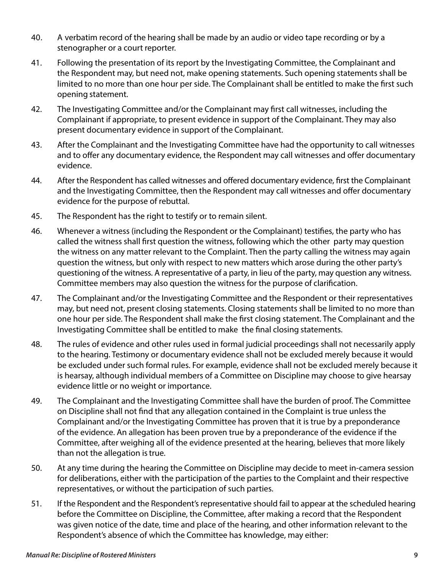- 40. A verbatim record of the hearing shall be made by an audio or video tape recording or by a stenographer or a court reporter.
- 41. Following the presentation of its report by the Investigating Committee, the Complainant and the Respondent may, but need not, make opening statements. Such opening statements shall be limited to no more than one hour per side. The Complainant shall be entitled to make the first such opening statement.
- 42. The Investigating Committee and/or the Complainant may first call witnesses, including the Complainant if appropriate, to present evidence in support of the Complainant. They may also present documentary evidence in support of the Complainant.
- 43. After the Complainant and the Investigating Committee have had the opportunity to call witnesses and to offer any documentary evidence, the Respondent may call witnesses and offer documentary evidence.
- 44. After the Respondent has called witnesses and offered documentary evidence, first the Complainant and the Investigating Committee, then the Respondent may call witnesses and offer documentary evidence for the purpose of rebuttal.
- 45. The Respondent has the right to testify or to remain silent.
- 46. Whenever a witness (including the Respondent or the Complainant) testifies, the party who has called the witness shall first question the witness, following which the other party may question the witness on any matter relevant to the Complaint. Then the party calling the witness may again question the witness, but only with respect to new matters which arose during the other party's questioning of the witness. A representative of a party, in lieu of the party, may question any witness. Committee members may also question the witness for the purpose of clarification.
- 47. The Complainant and/or the Investigating Committee and the Respondent or their representatives may, but need not, present closing statements. Closing statements shall be limited to no more than one hour per side. The Respondent shall make the first closing statement. The Complainant and the Investigating Committee shall be entitled to make the final closing statements.
- 48. The rules of evidence and other rules used in formal judicial proceedings shall not necessarily apply to the hearing. Testimony or documentary evidence shall not be excluded merely because it would be excluded under such formal rules. For example, evidence shall not be excluded merely because it is hearsay, although individual members of a Committee on Discipline may choose to give hearsay evidence little or no weight or importance.
- 49. The Complainant and the Investigating Committee shall have the burden of proof. The Committee on Discipline shall not find that any allegation contained in the Complaint is true unless the Complainant and/or the Investigating Committee has proven that it is true by a preponderance of the evidence. An allegation has been proven true by a preponderance of the evidence if the Committee, after weighing all of the evidence presented at the hearing, believes that more likely than not the allegation is true.
- 50. At any time during the hearing the Committee on Discipline may decide to meet in-camera session for deliberations, either with the participation of the parties to the Complaint and their respective representatives, or without the participation of such parties.
- 51. If the Respondent and the Respondent's representative should fail to appear at the scheduled hearing before the Committee on Discipline, the Committee, after making a record that the Respondent was given notice of the date, time and place of the hearing, and other information relevant to the Respondent's absence of which the Committee has knowledge, may either: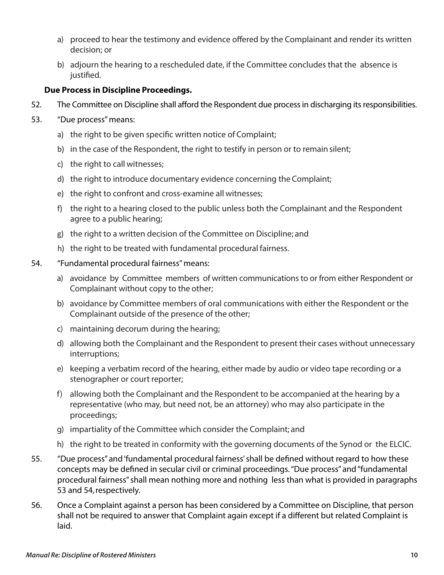- a) proceed to hear the testimony and evidence offered by the Complainant and render its written decision; or
- b) adjourn the hearing to a rescheduled date, if the Committee concludes that the absence is justified.

#### **Due Process in Discipline Proceedings.**

- 52. The Committee on Discipline shall afford the Respondent due process in discharging its responsibilities.
- 53. "Due process" means:
	- a) the right to be given specific written notice of Complaint;
	- b) in the case of the Respondent, the right to testify in person or to remain silent;
	- c) the right to call witnesses;
	- d) the right to introduce documentary evidence concerning the Complaint;
	- e) the right to confront and cross-examine all witnesses;
	- f) the right to a hearing closed to the public unless both the Complainant and the Respondent agree to a public hearing;
	- g) the right to a written decision of the Committee on Discipline; and
	- h) the right to be treated with fundamental procedural fairness.
- 54. "Fundamental procedural fairness" means:
	- a) avoidance by Committee members of written communications to or from either Respondent or Complainant without copy to the other;
	- b) avoidance by Committee members of oral communications with either the Respondent or the Complainant outside of the presence of the other;
	- c) maintaining decorum during the hearing;
	- d) allowing both the Complainant and the Respondent to present their cases without unnecessary interruptions;
	- e) keeping a verbatim record of the hearing, either made by audio or video tape recording or a stenographer or court reporter;
	- f) allowing both the Complainant and the Respondent to be accompanied at the hearing by a representative (who may, but need not, be an attorney) who may also participate in the proceedings;
	- g) impartiality of the Committee which consider the Complaint; and
	- h) the right to be treated in conformity with the governing documents of the Synod or the ELCIC.
- 55. "Due process" and 'fundamental procedural fairness' shall be defined without regard to how these concepts may be defined in secular civil or criminal proceedings. "Due process" and "fundamental procedural fairness" shall mean nothing more and nothing less than what is provided in paragraphs 53 and 54, respectively.
- 56. Once a Complaint against a person has been considered by a Committee on Discipline, that person shall not be required to answer that Complaint again except if a different but related Complaint is laid.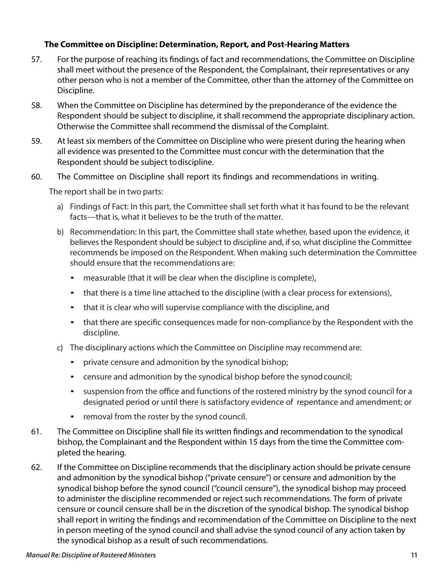#### **The Committee on Discipline: Determination, Report, and Post-Hearing Matters**

- 57. For the purpose of reaching its findings of fact and recommendations, the Committee on Discipline shall meet without the presence of the Respondent, the Complainant, their representatives or any other person who is not a member of the Committee, other than the attorney of the Committee on Discipline.
- 58. When the Committee on Discipline has determined by the preponderance of the evidence the Respondent should be subject to discipline, it shall recommend the appropriate disciplinary action. Otherwise the Committee shall recommend the dismissal of the Complaint.
- 59. At least six members of the Committee on Discipline who were present during the hearing when all evidence was presented to the Committee must concur with the determination that the Respondent should be subject to discipline.
- 60. The Committee on Discipline shall report its findings and recommendations in writing.

The report shall be in two parts:

- a) Findings of Fact: In this part, the Committee shall set forth what it has found to be the relevant facts—that is, what it believes to be the truth of the matter.
- b) Recommendation: In this part, the Committee shall state whether, based upon the evidence, it believes the Respondent should be subject to discipline and, if so, what discipline the Committee recommends be imposed on the Respondent. When making such determination the Committee should ensure that the recommendations are:
	- measurable (that it will be clear when the discipline is complete),
	- that there is a time line attached to the discipline (with a clear process for extensions),
	- **•** that it is clear who will supervise compliance with the discipline, and
	- **•** that there are specific consequences made for non-compliance by the Respondent with the discipline.
- c) The disciplinary actions which the Committee on Discipline may recommend are:
	- private censure and admonition by the synodical bishop;
	- censure and admonition by the synodical bishop before the synod council;
	- **EXECT** suspension from the office and functions of the rostered ministry by the synod council for a designated period or until there is satisfactory evidence of repentance and amendment; or
	- **•** removal from the roster by the synod council.
- 61. The Committee on Discipline shall file its written findings and recommendation to the synodical bishop, the Complainant and the Respondent within 15 days from the time the Committee completed the hearing.
- 62. If the Committee on Discipline recommends that the disciplinary action should be private censure and admonition by the synodical bishop ("private censure") or censure and admonition by the synodical bishop before the synod council ("council censure"), the synodical bishop may proceed to administer the discipline recommended or reject such recommendations. The form of private censure or council censure shall be in the discretion of the synodical bishop. The synodical bishop shall report in writing the findings and recommendation of the Committee on Discipline to the next in person meeting of the synod council and shall advise the synod council of any action taken by the synodical bishop as a result of such recommendations.